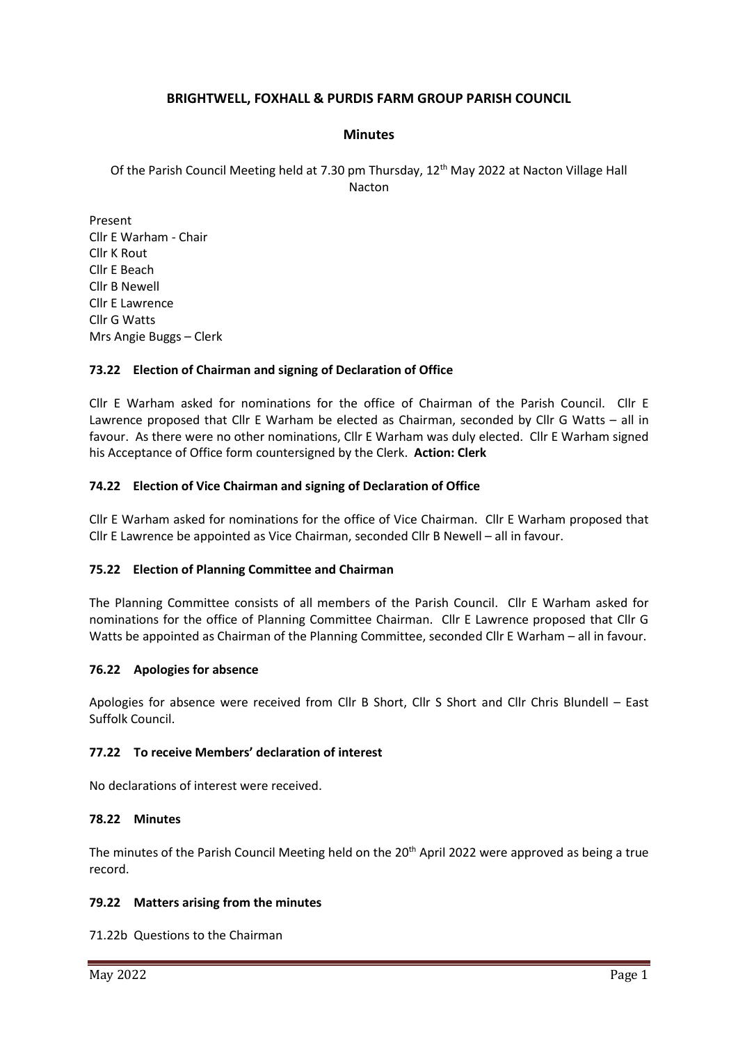## **BRIGHTWELL, FOXHALL & PURDIS FARM GROUP PARISH COUNCIL**

### **Minutes**

Of the Parish Council Meeting held at 7.30 pm Thursday,  $12^{th}$  May 2022 at Nacton Village Hall Nacton

Present Cllr E Warham - Chair Cllr K Rout Cllr E Beach Cllr B Newell Cllr E Lawrence Cllr G Watts Mrs Angie Buggs – Clerk

### **73.22 Election of Chairman and signing of Declaration of Office**

Cllr E Warham asked for nominations for the office of Chairman of the Parish Council. Cllr E Lawrence proposed that Cllr E Warham be elected as Chairman, seconded by Cllr G Watts – all in favour. As there were no other nominations, Cllr E Warham was duly elected. Cllr E Warham signed his Acceptance of Office form countersigned by the Clerk. **Action: Clerk**

### **74.22 Election of Vice Chairman and signing of Declaration of Office**

Cllr E Warham asked for nominations for the office of Vice Chairman. Cllr E Warham proposed that Cllr E Lawrence be appointed as Vice Chairman, seconded Cllr B Newell – all in favour.

#### **75.22 Election of Planning Committee and Chairman**

The Planning Committee consists of all members of the Parish Council. Cllr E Warham asked for nominations for the office of Planning Committee Chairman. Cllr E Lawrence proposed that Cllr G Watts be appointed as Chairman of the Planning Committee, seconded Cllr E Warham – all in favour.

#### **76.22 Apologies for absence**

Apologies for absence were received from Cllr B Short, Cllr S Short and Cllr Chris Blundell – East Suffolk Council.

## **77.22 To receive Members' declaration of interest**

No declarations of interest were received.

#### **78.22 Minutes**

The minutes of the Parish Council Meeting held on the 20<sup>th</sup> April 2022 were approved as being a true record.

#### **79.22 Matters arising from the minutes**

71.22b Questions to the Chairman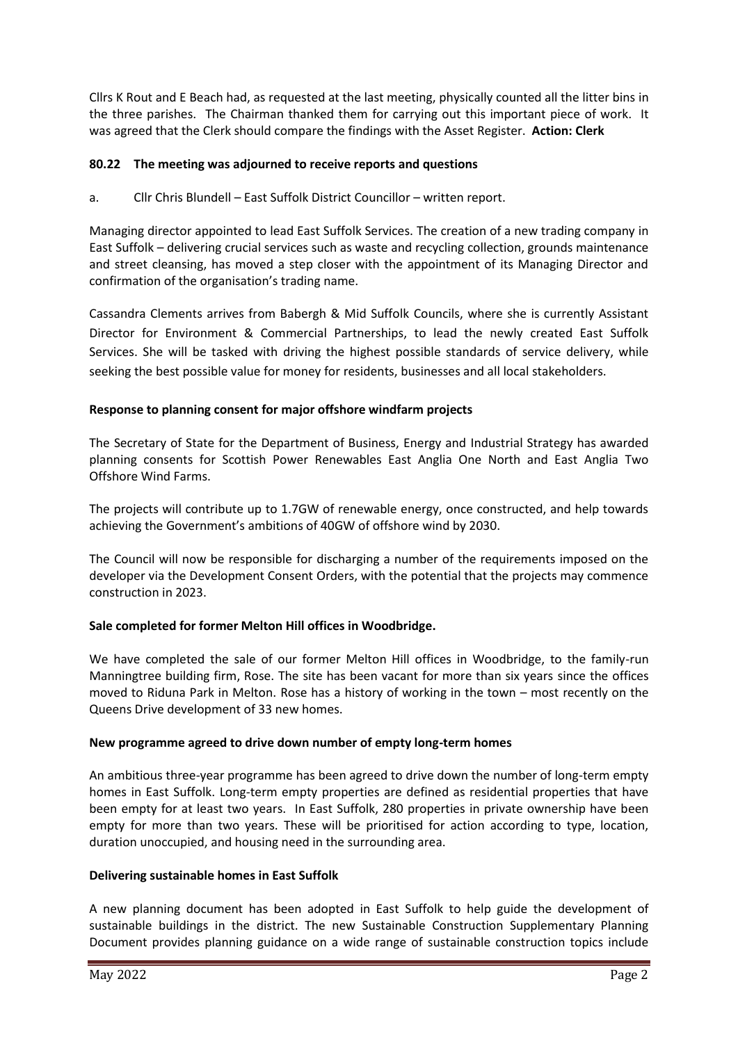Cllrs K Rout and E Beach had, as requested at the last meeting, physically counted all the litter bins in the three parishes. The Chairman thanked them for carrying out this important piece of work. It was agreed that the Clerk should compare the findings with the Asset Register. **Action: Clerk**

## **80.22 The meeting was adjourned to receive reports and questions**

a. Cllr Chris Blundell – East Suffolk District Councillor – written report.

Managing director appointed to lead East Suffolk Services. The creation of a new trading company in East Suffolk – delivering crucial services such as waste and recycling collection, grounds maintenance and street cleansing, has moved a step closer with the appointment of its Managing Director and confirmation of the organisation's trading name.

Cassandra Clements arrives from Babergh & Mid Suffolk Councils, where she is currently Assistant Director for Environment & Commercial Partnerships, to lead the newly created East Suffolk Services. She will be tasked with driving the highest possible standards of service delivery, while seeking the best possible value for money for residents, businesses and all local stakeholders.

# **Response to planning consent for major offshore windfarm projects**

The Secretary of State for the Department of Business, Energy and Industrial Strategy has awarded planning consents for Scottish Power Renewables East Anglia One North and East Anglia Two Offshore Wind Farms.

The projects will contribute up to 1.7GW of renewable energy, once constructed, and help towards achieving the Government's ambitions of 40GW of offshore wind by 2030.

The Council will now be responsible for discharging a number of the requirements imposed on the developer via the Development Consent Orders, with the potential that the projects may commence construction in 2023.

# **Sale completed for former Melton Hill offices in Woodbridge.**

We have completed the sale of our former Melton Hill offices in Woodbridge, to the family-run Manningtree building firm, Rose. The site has been vacant for more than six years since the offices moved to Riduna Park in Melton. Rose has a history of working in the town – most recently on the Queens Drive development of 33 new homes.

## **New programme agreed to drive down number of empty long-term homes**

An ambitious three-year programme has been agreed to drive down the number of long-term empty homes in East Suffolk. Long-term empty properties are defined as residential properties that have been empty for at least two years. In East Suffolk, 280 properties in private ownership have been empty for more than two years. These will be prioritised for action according to type, location, duration unoccupied, and housing need in the surrounding area.

## **Delivering sustainable homes in East Suffolk**

A new planning document has been adopted in East Suffolk to help guide the development of sustainable buildings in the district. The new Sustainable Construction Supplementary Planning Document provides planning guidance on a wide range of sustainable construction topics include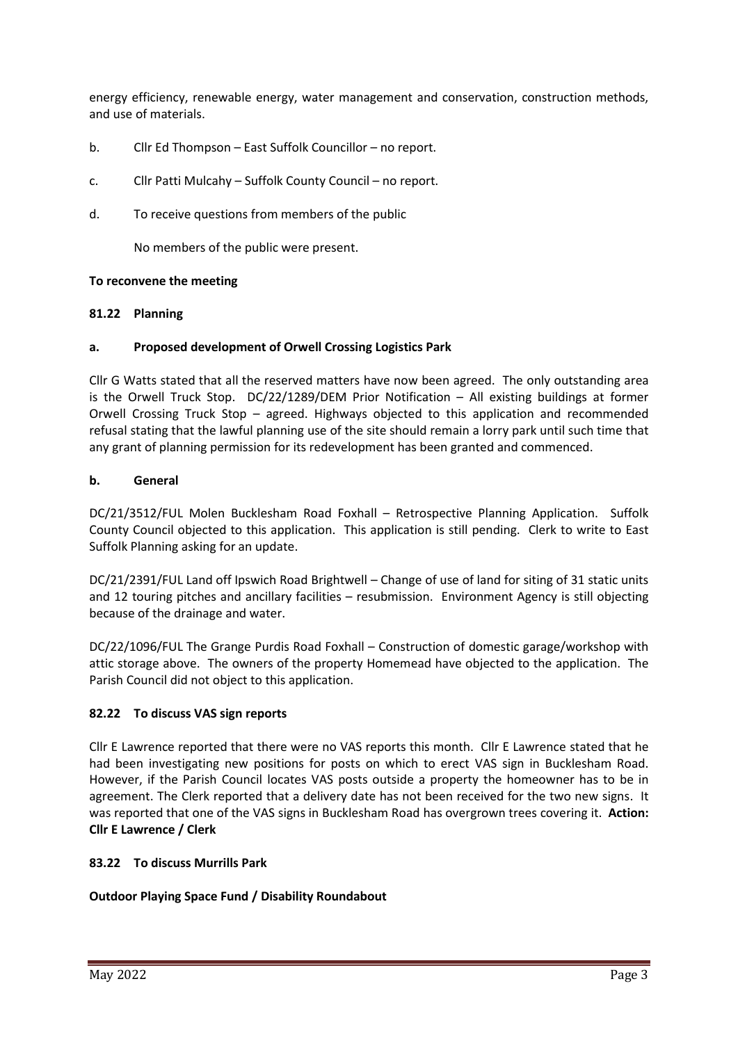energy efficiency, renewable energy, water management and conservation, construction methods, and use of materials.

- b. Cllr Ed Thompson East Suffolk Councillor no report.
- c. Cllr Patti Mulcahy Suffolk County Council no report.
- d. To receive questions from members of the public

No members of the public were present.

### **To reconvene the meeting**

### **81.22 Planning**

### **a. Proposed development of Orwell Crossing Logistics Park**

Cllr G Watts stated that all the reserved matters have now been agreed. The only outstanding area is the Orwell Truck Stop. DC/22/1289/DEM Prior Notification – All existing buildings at former Orwell Crossing Truck Stop – agreed. Highways objected to this application and recommended refusal stating that the lawful planning use of the site should remain a lorry park until such time that any grant of planning permission for its redevelopment has been granted and commenced.

## **b. General**

DC/21/3512/FUL Molen Bucklesham Road Foxhall – Retrospective Planning Application. Suffolk County Council objected to this application. This application is still pending. Clerk to write to East Suffolk Planning asking for an update.

DC/21/2391/FUL Land off Ipswich Road Brightwell – Change of use of land for siting of 31 static units and 12 touring pitches and ancillary facilities – resubmission. Environment Agency is still objecting because of the drainage and water.

DC/22/1096/FUL The Grange Purdis Road Foxhall – Construction of domestic garage/workshop with attic storage above. The owners of the property Homemead have objected to the application. The Parish Council did not object to this application.

## **82.22 To discuss VAS sign reports**

Cllr E Lawrence reported that there were no VAS reports this month. Cllr E Lawrence stated that he had been investigating new positions for posts on which to erect VAS sign in Bucklesham Road. However, if the Parish Council locates VAS posts outside a property the homeowner has to be in agreement. The Clerk reported that a delivery date has not been received for the two new signs. It was reported that one of the VAS signs in Bucklesham Road has overgrown trees covering it. **Action: Cllr E Lawrence / Clerk**

## **83.22 To discuss Murrills Park**

## **Outdoor Playing Space Fund / Disability Roundabout**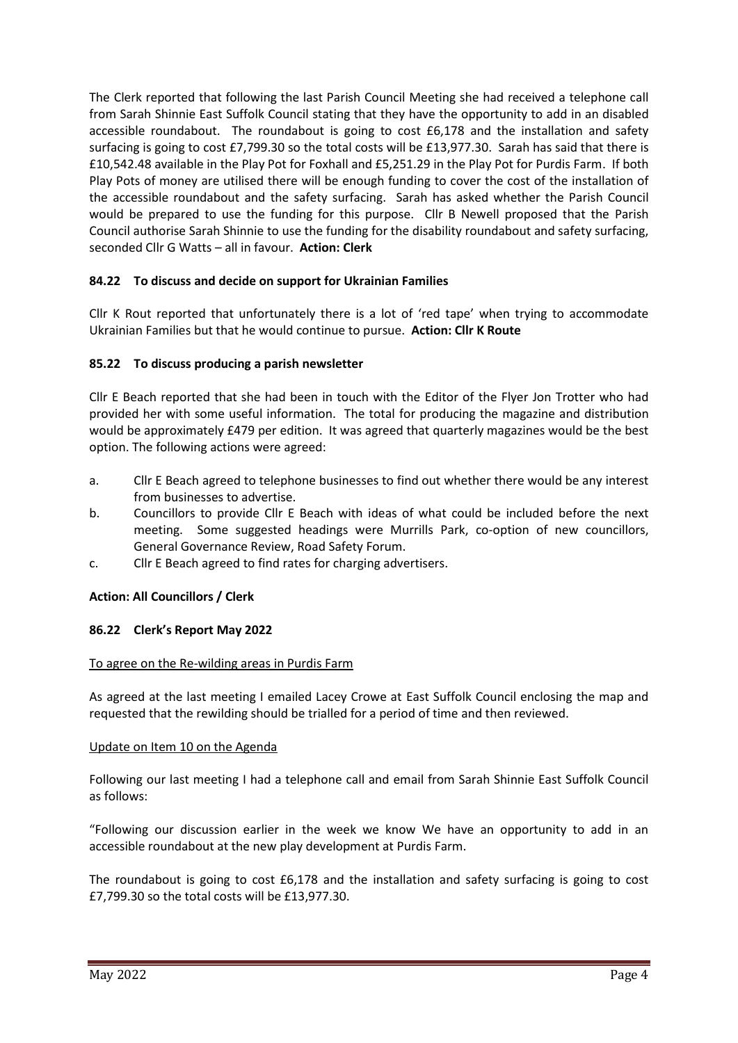The Clerk reported that following the last Parish Council Meeting she had received a telephone call from Sarah Shinnie East Suffolk Council stating that they have the opportunity to add in an disabled accessible roundabout. The roundabout is going to cost £6,178 and the installation and safety surfacing is going to cost £7,799.30 so the total costs will be £13,977.30. Sarah has said that there is £10,542.48 available in the Play Pot for Foxhall and £5,251.29 in the Play Pot for Purdis Farm. If both Play Pots of money are utilised there will be enough funding to cover the cost of the installation of the accessible roundabout and the safety surfacing. Sarah has asked whether the Parish Council would be prepared to use the funding for this purpose. Cllr B Newell proposed that the Parish Council authorise Sarah Shinnie to use the funding for the disability roundabout and safety surfacing, seconded Cllr G Watts – all in favour. **Action: Clerk**

# **84.22 To discuss and decide on support for Ukrainian Families**

Cllr K Rout reported that unfortunately there is a lot of 'red tape' when trying to accommodate Ukrainian Families but that he would continue to pursue. **Action: Cllr K Route**

## **85.22 To discuss producing a parish newsletter**

Cllr E Beach reported that she had been in touch with the Editor of the Flyer Jon Trotter who had provided her with some useful information. The total for producing the magazine and distribution would be approximately £479 per edition. It was agreed that quarterly magazines would be the best option. The following actions were agreed:

- a. Cllr E Beach agreed to telephone businesses to find out whether there would be any interest from businesses to advertise.
- b. Councillors to provide Cllr E Beach with ideas of what could be included before the next meeting. Some suggested headings were Murrills Park, co-option of new councillors, General Governance Review, Road Safety Forum.
- c. Cllr E Beach agreed to find rates for charging advertisers.

## **Action: All Councillors / Clerk**

#### **86.22 Clerk's Report May 2022**

#### To agree on the Re-wilding areas in Purdis Farm

As agreed at the last meeting I emailed Lacey Crowe at East Suffolk Council enclosing the map and requested that the rewilding should be trialled for a period of time and then reviewed.

#### Update on Item 10 on the Agenda

Following our last meeting I had a telephone call and email from Sarah Shinnie East Suffolk Council as follows:

"Following our discussion earlier in the week we know We have an opportunity to add in an accessible roundabout at the new play development at Purdis Farm.

The roundabout is going to cost £6,178 and the installation and safety surfacing is going to cost £7,799.30 so the total costs will be £13,977.30.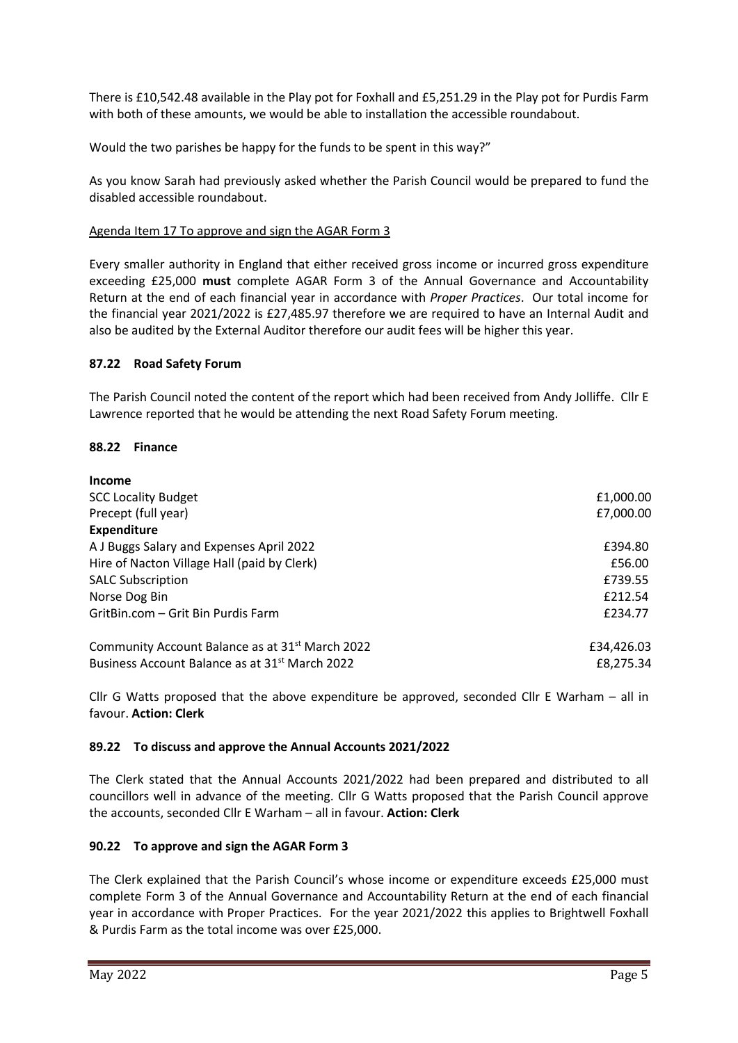There is £10,542.48 available in the Play pot for Foxhall and £5,251.29 in the Play pot for Purdis Farm with both of these amounts, we would be able to installation the accessible roundabout.

Would the two parishes be happy for the funds to be spent in this way?"

As you know Sarah had previously asked whether the Parish Council would be prepared to fund the disabled accessible roundabout.

## Agenda Item 17 To approve and sign the AGAR Form 3

Every smaller authority in England that either received gross income or incurred gross expenditure exceeding £25,000 **must** complete AGAR Form 3 of the Annual Governance and Accountability Return at the end of each financial year in accordance with *Proper Practices*. Our total income for the financial year 2021/2022 is £27,485.97 therefore we are required to have an Internal Audit and also be audited by the External Auditor therefore our audit fees will be higher this year.

### **87.22 Road Safety Forum**

The Parish Council noted the content of the report which had been received from Andy Jolliffe. Cllr E Lawrence reported that he would be attending the next Road Safety Forum meeting.

#### **88.22 Finance**

| <b>Income</b>                                               |            |
|-------------------------------------------------------------|------------|
| <b>SCC Locality Budget</b>                                  | £1,000.00  |
| Precept (full year)                                         | £7,000.00  |
| <b>Expenditure</b>                                          |            |
| A J Buggs Salary and Expenses April 2022                    | £394.80    |
| Hire of Nacton Village Hall (paid by Clerk)                 | £56.00     |
| <b>SALC Subscription</b>                                    | £739.55    |
| Norse Dog Bin                                               | £212.54    |
| GritBin.com - Grit Bin Purdis Farm                          | £234.77    |
| Community Account Balance as at 31 <sup>st</sup> March 2022 | £34,426.03 |
| Business Account Balance as at 31 <sup>st</sup> March 2022  | £8,275.34  |

Cllr G Watts proposed that the above expenditure be approved, seconded Cllr E Warham – all in favour. **Action: Clerk**

#### **89.22 To discuss and approve the Annual Accounts 2021/2022**

The Clerk stated that the Annual Accounts 2021/2022 had been prepared and distributed to all councillors well in advance of the meeting. Cllr G Watts proposed that the Parish Council approve the accounts, seconded Cllr E Warham – all in favour. **Action: Clerk**

## **90.22 To approve and sign the AGAR Form 3**

The Clerk explained that the Parish Council's whose income or expenditure exceeds £25,000 must complete Form 3 of the Annual Governance and Accountability Return at the end of each financial year in accordance with Proper Practices. For the year 2021/2022 this applies to Brightwell Foxhall & Purdis Farm as the total income was over £25,000.